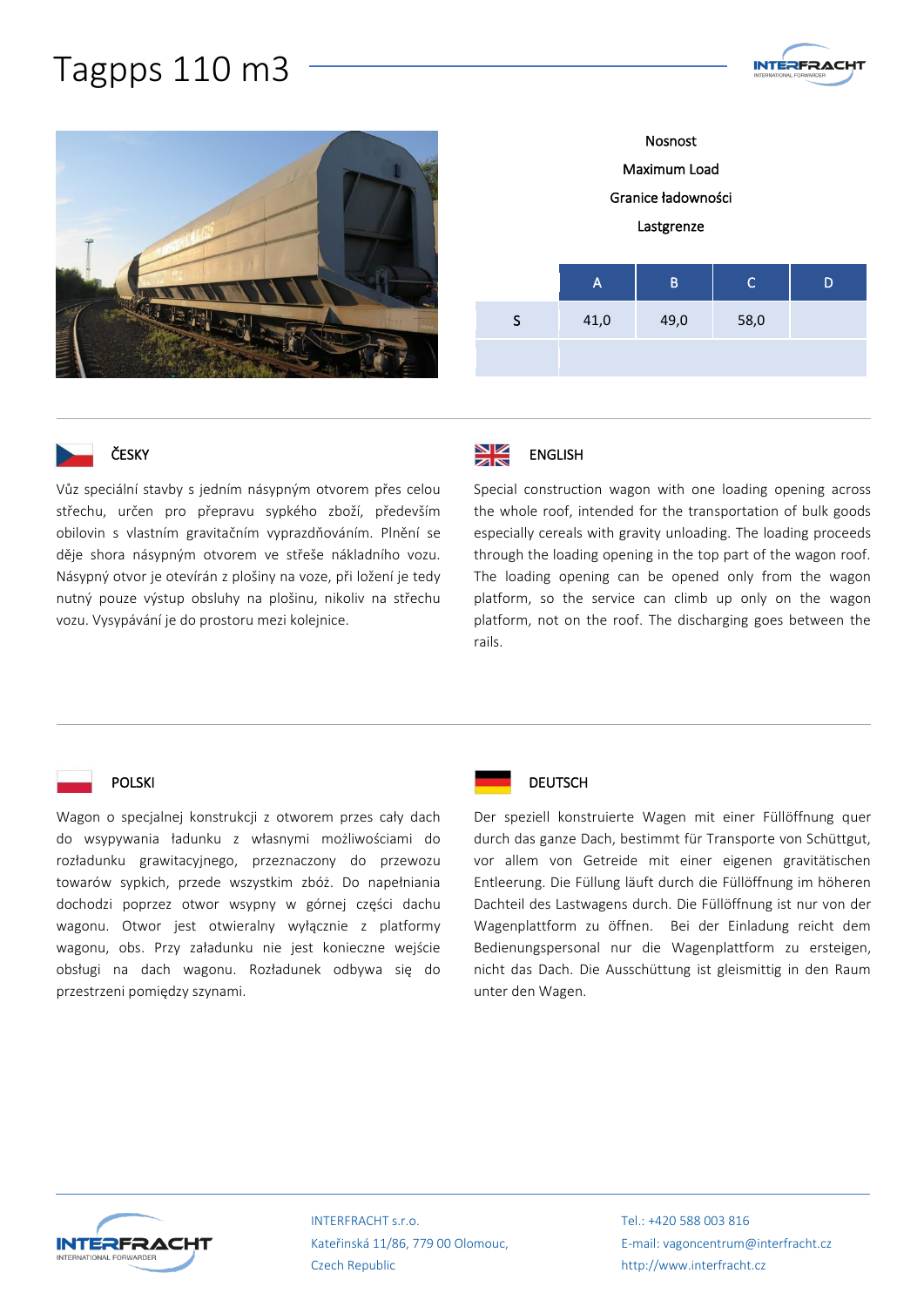## Tagpps 110 m3





Nosnost Maximum Load Granice ładowności Lastgrenze A B C D S 41,0 49,0 58,0



Vůz speciální stavby s jedním násypným otvorem přes celou střechu, určen pro přepravu sypkého zboží, především obilovin s vlastním gravitačním vyprazdňováním. Plnění se děje shora násypným otvorem ve střeše nákladního vozu. Násypný otvor je otevírán z plošiny na voze, při ložení je tedy nutný pouze výstup obsluhy na plošinu, nikoliv na střechu vozu. Vysypávání je do prostoru mezi kolejnice.



ENGLISH

Special construction wagon with one loading opening across the whole roof, intended for the transportation of bulk goods especially cereals with gravity unloading. The loading proceeds through the loading opening in the top part of the wagon roof. The loading opening can be opened only from the wagon platform, so the service can climb up only on the wagon platform, not on the roof. The discharging goes between the rails.

#### POLSKI

Wagon o specjalnej konstrukcji z otworem przes cały dach do wsypywania ładunku z własnymi możliwościami do rozładunku grawitacyjnego, przeznaczony do przewozu towarów sypkich, przede wszystkim zbóż. Do napełniania dochodzi poprzez otwor wsypny w górnej części dachu wagonu. Otwor jest otwieralny wyłącznie z platformy wagonu, obs. Przy załadunku nie jest konieczne wejście obsługi na dach wagonu. Rozładunek odbywa się do przestrzeni pomiędzy szynami.



### **DEUTSCH**

Der speziell konstruierte Wagen mit einer Füllöffnung quer durch das ganze Dach, bestimmt für Transporte von Schüttgut, vor allem von Getreide mit einer eigenen gravitätischen Entleerung. Die Füllung läuft durch die Füllöffnung im höheren Dachteil des Lastwagens durch. Die Füllöffnung ist nur von der Wagenplattform zu öffnen. Bei der Einladung reicht dem Bedienungspersonal nur die Wagenplattform zu ersteigen, nicht das Dach. Die Ausschüttung ist gleismittig in den Raum unter den Wagen.



INTERFRACHT s.r.o. Kateřinská 11/86, 779 00 Olomouc, Czech Republic

Tel.: +420 588 003 816 E-mail: vagoncentrum@interfracht.cz http://www.interfracht.cz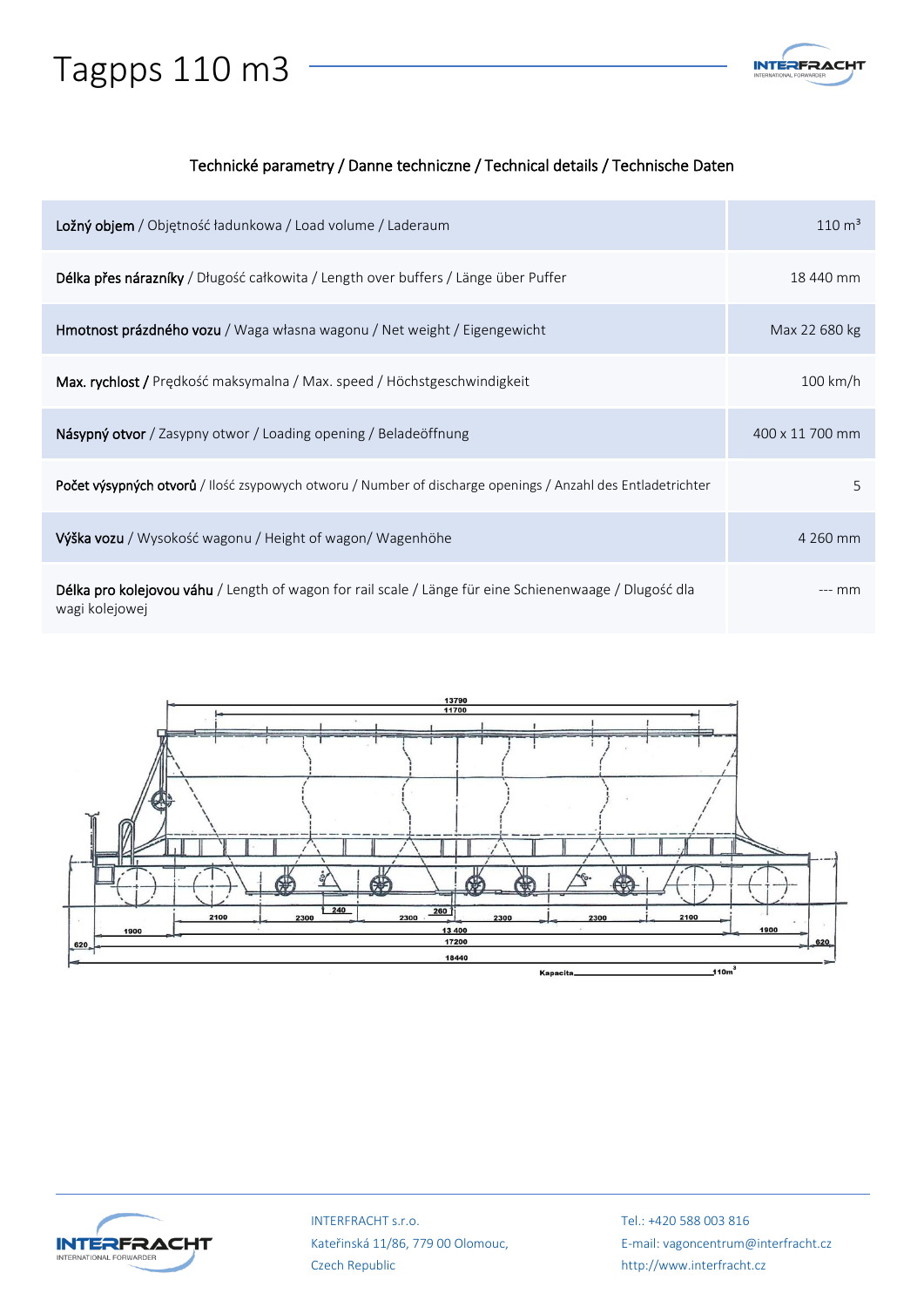# Tagpps 110 m3



#### Technické parametry / Danne techniczne / Technical details / Technische Daten

| Ložný objem / Objętność ładunkowa / Load volume / Laderaum                                                               | $110 \text{ m}^3$  |
|--------------------------------------------------------------------------------------------------------------------------|--------------------|
| Délka přes nárazníky / Długość całkowita / Length over buffers / Länge über Puffer                                       | 18 440 mm          |
| Hmotnost prázdného vozu / Waga własna wagonu / Net weight / Eigengewicht                                                 | Max 22 680 kg      |
| Max. rychlost / Prędkość maksymalna / Max. speed / Höchstgeschwindigkeit                                                 | $100 \text{ km/h}$ |
| Násypný otvor / Zasypny otwor / Loading opening / Beladeöffnung                                                          | 400 x 11 700 mm    |
| <b>Počet výsypných otvorů</b> / Ilość zsypowych otworu / Number of discharge openings / Anzahl des Entladetrichter       | 5                  |
| Výška vozu / Wysokość wagonu / Height of wagon/ Wagenhöhe                                                                | 4 260 mm           |
| Délka pro kolejovou váhu / Length of wagon for rail scale / Länge für eine Schienenwaage / Dlugość dla<br>wagi kolejowej | --- mm             |





INTERFRACHT s.r.o. Kateřinská 11/86, 779 00 Olomouc, Czech Republic

Tel.: +420 588 003 816 E-mail: vagoncentrum@interfracht.cz http://www.interfracht.cz